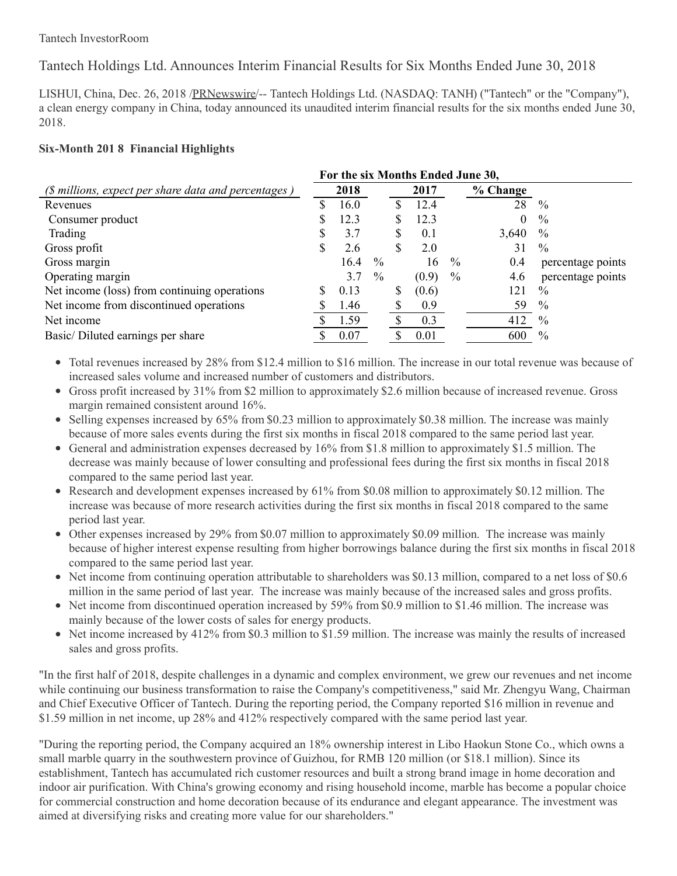# Tantech Holdings Ltd. Announces Interim Financial Results for Six Months Ended June 30, 2018

LISHUI, China, Dec. 26, 2018 [/PRNewswire](http://www.prnewswire.com/)/-- Tantech Holdings Ltd. (NASDAQ: TANH) ("Tantech" or the "Company"), a clean energy company in China, today announced its unaudited interim financial results for the six months ended June 30, 2018.

# **Six-Month 201 8 Financial Highlights**

| For the six Months Ended June 30, |      |      |   |       |      |            |                   |
|-----------------------------------|------|------|---|-------|------|------------|-------------------|
|                                   | 2018 |      |   | 2017  |      | $%$ Change |                   |
|                                   | 16.0 |      |   | 12.4  |      | 28         | $\%$              |
|                                   | 12.3 |      |   | 12.3  |      | $\theta$   | $\%$              |
|                                   | 3.7  |      | S | 0.1   |      | 3,640      | $\%$              |
|                                   | 2.6  |      | S | 2.0   |      | 31         | $\%$              |
|                                   | 16.4 | $\%$ |   | 16    | $\%$ | 0.4        | percentage points |
|                                   | 3.7  | $\%$ |   | (0.9) | $\%$ | 4.6        | percentage points |
| S                                 | 0.13 |      | S | (0.6) |      | 121        | $\frac{0}{0}$     |
|                                   | 1.46 |      |   | 0.9   |      | 59         | $\%$              |
|                                   | 1.59 |      |   | 0.3   |      | 412        | $\%$              |
|                                   | 0.07 |      |   | 0.01  |      | 600        | $\frac{0}{0}$     |
|                                   |      |      |   |       |      |            |                   |

• Total revenues increased by 28% from \$12.4 million to \$16 million. The increase in our total revenue was because of increased sales volume and increased number of customers and distributors.

- Gross profit increased by 31% from \$2 million to approximately \$2.6 million because of increased revenue. Gross margin remained consistent around 16%.
- Selling expenses increased by 65% from \$0.23 million to approximately \$0.38 million. The increase was mainly because of more sales events during the first six months in fiscal 2018 compared to the same period last year.
- General and administration expenses decreased by  $16\%$  from \$1.8 million to approximately \$1.5 million. The decrease was mainly because of lower consulting and professional fees during the first six months in fiscal 2018 compared to the same period last year.
- Research and development expenses increased by 61% from \$0.08 million to approximately \$0.12 million. The increase was because of more research activities during the first six months in fiscal 2018 compared to the same period last year.
- Other expenses increased by 29% from \$0.07 million to approximately \$0.09 million. The increase was mainly because of higher interest expense resulting from higher borrowings balance during the first six months in fiscal 2018 compared to the same period last year.
- Net income from continuing operation attributable to shareholders was \$0.13 million, compared to a net loss of \$0.6 million in the same period of last year. The increase was mainly because of the increased sales and gross profits.
- Net income from discontinued operation increased by 59% from \$0.9 million to \$1.46 million. The increase was mainly because of the lower costs of sales for energy products.
- Net income increased by 412% from \$0.3 million to \$1.59 million. The increase was mainly the results of increased sales and gross profits.

"In the first half of 2018, despite challenges in a dynamic and complex environment, we grew our revenues and net income while continuing our business transformation to raise the Company's competitiveness," said Mr. Zhengyu Wang, Chairman and Chief Executive Officer of Tantech. During the reporting period, the Company reported \$16 million in revenue and \$1.59 million in net income, up 28% and 412% respectively compared with the same period last year.

"During the reporting period, the Company acquired an 18% ownership interest in Libo Haokun Stone Co., which owns a small marble quarry in the southwestern province of Guizhou, for RMB 120 million (or \$18.1 million). Since its establishment, Tantech has accumulated rich customer resources and built a strong brand image in home decoration and indoor air purification. With China's growing economy and rising household income, marble has become a popular choice for commercial construction and home decoration because of its endurance and elegant appearance. The investment was aimed at diversifying risks and creating more value for our shareholders."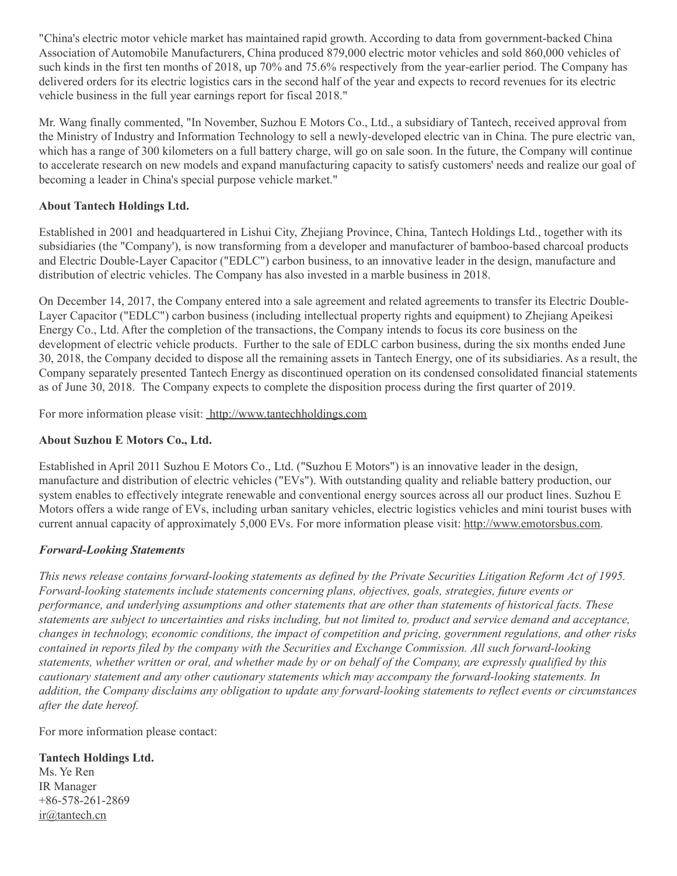"China's electric motor vehicle market has maintained rapid growth. According to data from government-backed China Association of Automobile Manufacturers, China produced 879,000 electric motor vehicles and sold 860,000 vehicles of such kinds in the first ten months of 2018, up 70% and 75.6% respectively from the year-earlier period. The Company has delivered orders for its electric logistics cars in the second half of the year and expects to record revenues for its electric vehicle business in the full year earnings report for fiscal 2018."

Mr. Wang finally commented, "In November, Suzhou E Motors Co., Ltd., a subsidiary of Tantech, received approval from the Ministry of Industry and Information Technology to sell a newly-developed electric van in China. The pure electric van, which has a range of 300 kilometers on a full battery charge, will go on sale soon. In the future, the Company will continue to accelerate research on new models and expand manufacturing capacity to satisfy customers' needs and realize our goal of becoming a leader in China's special purpose vehicle market."

#### **About Tantech Holdings Ltd.**

Established in 2001 and headquartered in Lishui City, Zhejiang Province, China, Tantech Holdings Ltd., together with its subsidiaries (the "Company'), is now transforming from a developer and manufacturer of bamboo-based charcoal products and Electric Double-Layer Capacitor ("EDLC") carbon business, to an innovative leader in the design, manufacture and distribution of electric vehicles. The Company has also invested in a marble business in 2018.

On December 14, 2017, the Company entered into a sale agreement and related agreements to transfer its Electric Double-Layer Capacitor ("EDLC") carbon business (including intellectual property rights and equipment) to Zhejiang Apeikesi Energy Co., Ltd. After the completion of the transactions, the Company intends to focus its core business on the development of electric vehicle products. Further to the sale of EDLC carbon business, during the six months ended June 30, 2018, the Company decided to dispose all the remaining assets in Tantech Energy, one of its subsidiaries. As a result, the Company separately presented Tantech Energy as discontinued operation on its condensed consolidated financial statements as of June 30, 2018. The Company expects to complete the disposition process during the first quarter of 2019.

For more information please visit: [http://www.tantechholdings.com](http://www.tantechholdings.com/)

### **About Suzhou E Motors Co., Ltd.**

Established in April 2011 Suzhou E Motors Co., Ltd. ("Suzhou E Motors") is an innovative leader in the design, manufacture and distribution of electric vehicles ("EVs"). With outstanding quality and reliable battery production, our system enables to effectively integrate renewable and conventional energy sources across all our product lines. Suzhou E Motors offers a wide range of EVs, including urban sanitary vehicles, electric logistics vehicles and mini tourist buses with current annual capacity of approximately 5,000 EVs. For more information please visit: [http://www.emotorsbus.com](http://www.emotorsbus.com/).

# *Forward-Looking Statements*

This news release contains forward-looking statements as defined by the Private Securities Litigation Reform Act of 1995. *Forward-looking statements include statements concerning plans, objectives, goals, strategies, future events or* performance, and underlying assumptions and other statements that are other than statements of historical facts. These statements are subject to uncertainties and risks including, but not limited to, product and service demand and acceptance, changes in technology, economic conditions, the impact of competition and pricing, government regulations, and other risks *contained in reports filed by the company with the Securities and Exchange Commission. All such forward-looking* statements, whether written or oral, and whether made by or on behalf of the Company, are expressly qualified by this *cautionary statement and any other cautionary statements which may accompany the forward-looking statements. In* addition, the Company disclaims any obligation to update any forward-looking statements to reflect events or circumstances *after the date hereof.*

For more information please contact:

# **Tantech Holdings Ltd.**

Ms. Ye Ren IR Manager +86-578-261-2869 [ir@tantech.cn](mailto:ir@tantech.cn)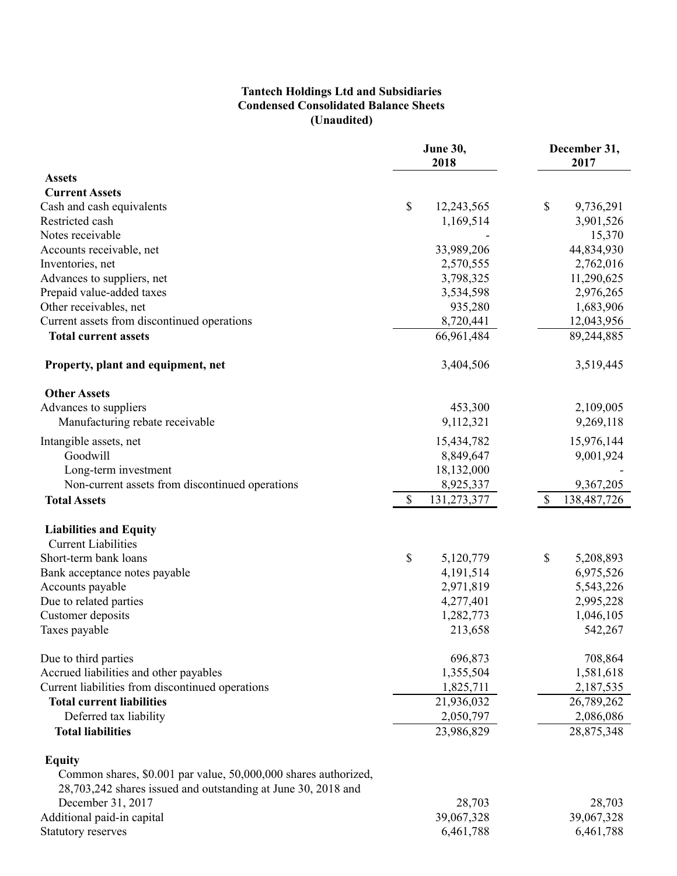### **Tantech Holdings Ltd and Subsidiaries Condensed Consolidated Balance Sheets (Unaudited)**

|                                                                 | June 30,<br>2018  | December 31,<br>2017 |  |  |
|-----------------------------------------------------------------|-------------------|----------------------|--|--|
| <b>Assets</b>                                                   |                   |                      |  |  |
| <b>Current Assets</b>                                           |                   |                      |  |  |
| Cash and cash equivalents                                       | \$<br>12,243,565  | \$<br>9,736,291      |  |  |
| Restricted cash                                                 | 1,169,514         | 3,901,526            |  |  |
| Notes receivable                                                |                   | 15,370               |  |  |
| Accounts receivable, net                                        | 33,989,206        | 44,834,930           |  |  |
| Inventories, net                                                | 2,570,555         | 2,762,016            |  |  |
| Advances to suppliers, net                                      | 3,798,325         | 11,290,625           |  |  |
| Prepaid value-added taxes                                       | 3,534,598         | 2,976,265            |  |  |
| Other receivables, net                                          | 935,280           | 1,683,906            |  |  |
| Current assets from discontinued operations                     | 8,720,441         | 12,043,956           |  |  |
| <b>Total current assets</b>                                     | 66,961,484        | 89,244,885           |  |  |
| Property, plant and equipment, net                              | 3,404,506         | 3,519,445            |  |  |
| <b>Other Assets</b>                                             |                   |                      |  |  |
| Advances to suppliers                                           | 453,300           | 2,109,005            |  |  |
| Manufacturing rebate receivable                                 | 9,112,321         | 9,269,118            |  |  |
| Intangible assets, net                                          | 15,434,782        | 15,976,144           |  |  |
| Goodwill                                                        | 8,849,647         | 9,001,924            |  |  |
| Long-term investment                                            | 18,132,000        |                      |  |  |
| Non-current assets from discontinued operations                 | 8,925,337         | 9,367,205            |  |  |
| <b>Total Assets</b>                                             | 131,273,377<br>\$ | 138,487,726<br>\$    |  |  |
| <b>Liabilities and Equity</b>                                   |                   |                      |  |  |
| <b>Current Liabilities</b>                                      |                   |                      |  |  |
| Short-term bank loans                                           | \$<br>5,120,779   | \$<br>5,208,893      |  |  |
| Bank acceptance notes payable                                   | 4,191,514         | 6,975,526            |  |  |
| Accounts payable                                                | 2,971,819         | 5,543,226            |  |  |
| Due to related parties                                          | 4,277,401         | 2,995,228            |  |  |
| Customer deposits                                               | 1,282,773         | 1,046,105            |  |  |
| Taxes payable                                                   | 213,658           | 542,267              |  |  |
| Due to third parties                                            | 696,873           | 708,864              |  |  |
| Accrued liabilities and other payables                          | 1,355,504         | 1,581,618            |  |  |
| Current liabilities from discontinued operations                | 1,825,711         | 2,187,535            |  |  |
| <b>Total current liabilities</b>                                | 21,936,032        | 26,789,262           |  |  |
| Deferred tax liability                                          | 2,050,797         | 2,086,086            |  |  |
| <b>Total liabilities</b>                                        | 23,986,829        | 28,875,348           |  |  |
| <b>Equity</b>                                                   |                   |                      |  |  |
| Common shares, \$0.001 par value, 50,000,000 shares authorized, |                   |                      |  |  |
| 28,703,242 shares issued and outstanding at June 30, 2018 and   |                   |                      |  |  |
| December 31, 2017                                               | 28,703            | 28,703               |  |  |
| Additional paid-in capital                                      | 39,067,328        | 39,067,328           |  |  |
| Statutory reserves                                              | 6,461,788         | 6,461,788            |  |  |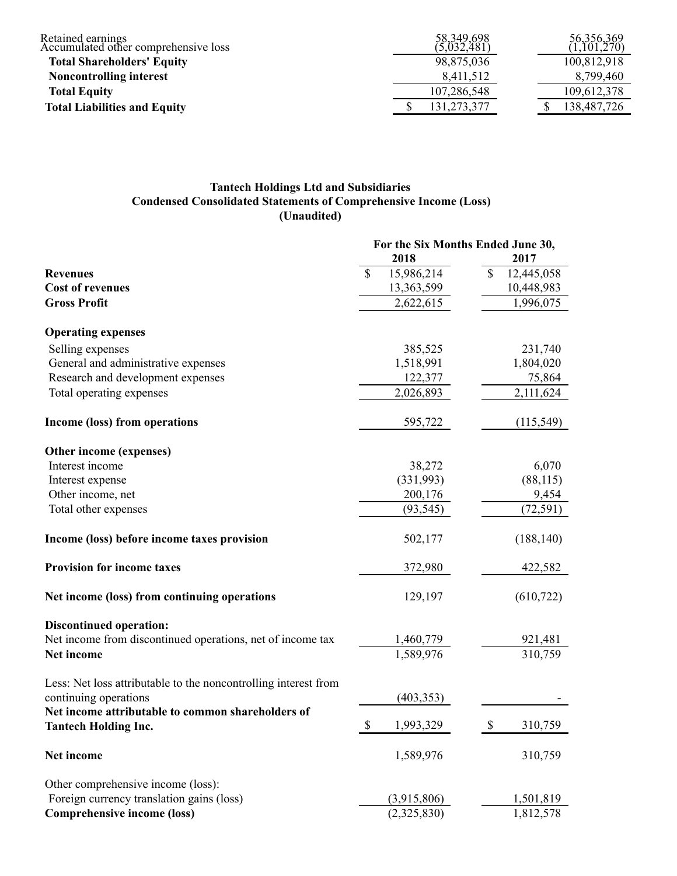| Retained earnings<br>Accumulated other comprehensive loss | 58,349,698<br>(5,032,481) | 56,356,369<br>1,101,270) |
|-----------------------------------------------------------|---------------------------|--------------------------|
| <b>Total Shareholders' Equity</b>                         | 98,875,036                | 100,812,918              |
| <b>Noncontrolling interest</b>                            | 8,411,512                 | 8.799.460                |
| <b>Total Equity</b>                                       | 107,286,548               | 109,612,378              |
| <b>Total Liabilities and Equity</b>                       | 131,273,377               | 138,487,726              |

### **Tantech Holdings Ltd and Subsidiaries Condensed Consolidated Statements of Comprehensive Income (Loss) (Unaudited)**

|                                                                                  | For the Six Months Ended June 30,      |                  |  |  |  |  |  |
|----------------------------------------------------------------------------------|----------------------------------------|------------------|--|--|--|--|--|
|                                                                                  | 2018                                   | 2017             |  |  |  |  |  |
| <b>Revenues</b>                                                                  | 15,986,214<br>S                        | \$<br>12,445,058 |  |  |  |  |  |
| <b>Cost of revenues</b>                                                          | 13,363,599                             | 10,448,983       |  |  |  |  |  |
| <b>Gross Profit</b>                                                              | 2,622,615                              | 1,996,075        |  |  |  |  |  |
| <b>Operating expenses</b>                                                        |                                        |                  |  |  |  |  |  |
| Selling expenses                                                                 | 385,525                                | 231,740          |  |  |  |  |  |
| General and administrative expenses                                              | 1,518,991                              | 1,804,020        |  |  |  |  |  |
| Research and development expenses                                                | 122,377                                | 75,864           |  |  |  |  |  |
| Total operating expenses                                                         | 2,026,893                              | 2,111,624        |  |  |  |  |  |
| Income (loss) from operations                                                    | 595,722                                | (115, 549)       |  |  |  |  |  |
| Other income (expenses)                                                          |                                        |                  |  |  |  |  |  |
| Interest income                                                                  | 38,272                                 | 6,070            |  |  |  |  |  |
| Interest expense                                                                 | (331,993)                              | (88, 115)        |  |  |  |  |  |
| Other income, net                                                                | 200,176                                | 9,454            |  |  |  |  |  |
| Total other expenses                                                             | (93, 545)                              | (72, 591)        |  |  |  |  |  |
| Income (loss) before income taxes provision                                      | 502,177                                | (188, 140)       |  |  |  |  |  |
| <b>Provision for income taxes</b>                                                | 372,980                                | 422,582          |  |  |  |  |  |
| Net income (loss) from continuing operations                                     | 129,197                                | (610, 722)       |  |  |  |  |  |
| <b>Discontinued operation:</b>                                                   |                                        |                  |  |  |  |  |  |
| Net income from discontinued operations, net of income tax                       | 1,460,779                              | 921,481          |  |  |  |  |  |
| Net income                                                                       | 1,589,976                              | 310,759          |  |  |  |  |  |
| Less: Net loss attributable to the noncontrolling interest from                  |                                        |                  |  |  |  |  |  |
| continuing operations                                                            | (403, 353)                             |                  |  |  |  |  |  |
| Net income attributable to common shareholders of<br><b>Tantech Holding Inc.</b> | $\boldsymbol{\mathsf{S}}$<br>1,993,329 | \$<br>310,759    |  |  |  |  |  |
| Net income                                                                       | 1,589,976                              | 310,759          |  |  |  |  |  |
| Other comprehensive income (loss):                                               |                                        |                  |  |  |  |  |  |
| Foreign currency translation gains (loss)                                        | (3,915,806)                            | 1,501,819        |  |  |  |  |  |
| <b>Comprehensive income (loss)</b>                                               | (2,325,830)                            | 1,812,578        |  |  |  |  |  |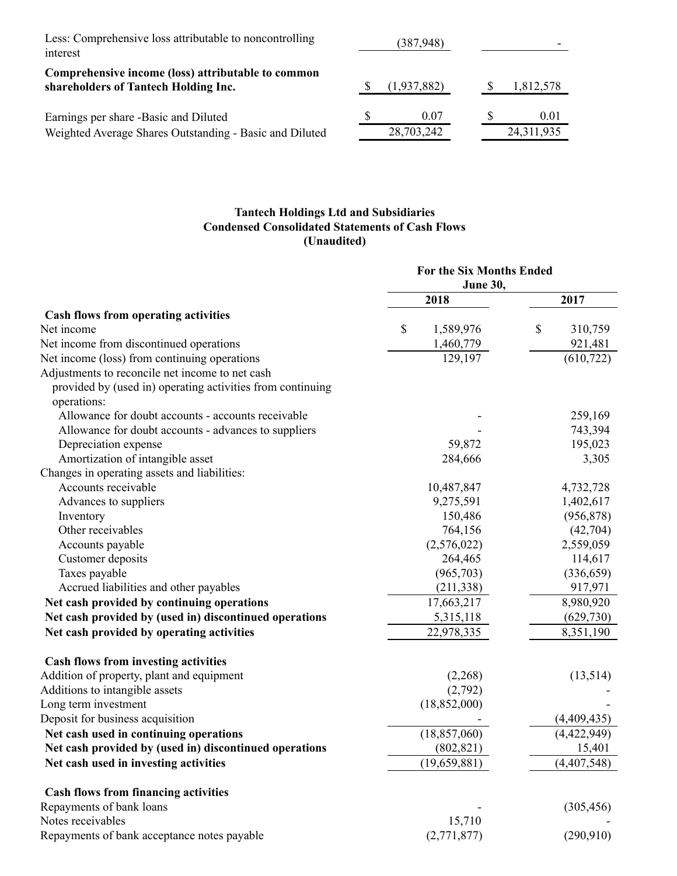| Less: Comprehensive loss attributable to noncontrolling<br>interest                        |  |             |          |            |
|--------------------------------------------------------------------------------------------|--|-------------|----------|------------|
| Comprehensive income (loss) attributable to common<br>shareholders of Tantech Holding Inc. |  | (1,937,882) | <b>S</b> | 1,812,578  |
| Earnings per share -Basic and Diluted                                                      |  | 0.07        |          | 0.01       |
| Weighted Average Shares Outstanding - Basic and Diluted                                    |  | 28,703,242  |          | 24,311,935 |

# **Tantech Holdings Ltd and Subsidiaries Condensed Consolidated Statements of Cash Flows (Unaudited)**

|                                                                                                               | <b>For the Six Months Ended</b><br><b>June 30,</b> |               |  |
|---------------------------------------------------------------------------------------------------------------|----------------------------------------------------|---------------|--|
|                                                                                                               | 2018                                               | 2017          |  |
| Cash flows from operating activities                                                                          |                                                    |               |  |
| Net income                                                                                                    | \$<br>1,589,976                                    | \$<br>310,759 |  |
| Net income from discontinued operations                                                                       | 1,460,779                                          | 921,481       |  |
| Net income (loss) from continuing operations                                                                  | 129,197                                            | (610, 722)    |  |
| Adjustments to reconcile net income to net cash<br>provided by (used in) operating activities from continuing |                                                    |               |  |
| operations:                                                                                                   |                                                    |               |  |
| Allowance for doubt accounts - accounts receivable                                                            |                                                    | 259,169       |  |
| Allowance for doubt accounts - advances to suppliers                                                          |                                                    | 743,394       |  |
| Depreciation expense                                                                                          | 59,872                                             | 195,023       |  |
| Amortization of intangible asset                                                                              | 284,666                                            | 3,305         |  |
| Changes in operating assets and liabilities:                                                                  |                                                    |               |  |
| Accounts receivable                                                                                           | 10,487,847                                         | 4,732,728     |  |
| Advances to suppliers                                                                                         | 9,275,591                                          | 1,402,617     |  |
| Inventory                                                                                                     | 150,486                                            | (956, 878)    |  |
| Other receivables                                                                                             | 764,156                                            | (42,704)      |  |
| Accounts payable                                                                                              | (2,576,022)                                        | 2,559,059     |  |
| Customer deposits                                                                                             | 264,465                                            | 114,617       |  |
| Taxes payable                                                                                                 | (965,703)                                          | (336, 659)    |  |
| Accrued liabilities and other payables                                                                        | (211, 338)                                         | 917,971       |  |
| Net cash provided by continuing operations                                                                    | 17,663,217                                         | 8,980,920     |  |
| Net cash provided by (used in) discontinued operations                                                        | 5,315,118                                          | (629, 730)    |  |
| Net cash provided by operating activities                                                                     | 22,978,335                                         | 8,351,190     |  |
| Cash flows from investing activities                                                                          |                                                    |               |  |
| Addition of property, plant and equipment                                                                     | (2,268)                                            | (13,514)      |  |
| Additions to intangible assets                                                                                | (2,792)                                            |               |  |
| Long term investment                                                                                          | (18, 852, 000)                                     |               |  |
| Deposit for business acquisition                                                                              |                                                    | (4,409,435)   |  |
| Net cash used in continuing operations                                                                        | (18, 857, 060)                                     | (4,422,949)   |  |
| Net cash provided by (used in) discontinued operations                                                        | (802, 821)                                         | 15,401        |  |
| Net cash used in investing activities                                                                         | (19, 659, 881)                                     | (4,407,548)   |  |
| <b>Cash flows from financing activities</b>                                                                   |                                                    |               |  |
| Repayments of bank loans                                                                                      |                                                    | (305, 456)    |  |
| Notes receivables                                                                                             | 15,710                                             |               |  |
| Repayments of bank acceptance notes payable                                                                   | (2,771,877)                                        | (290,910)     |  |